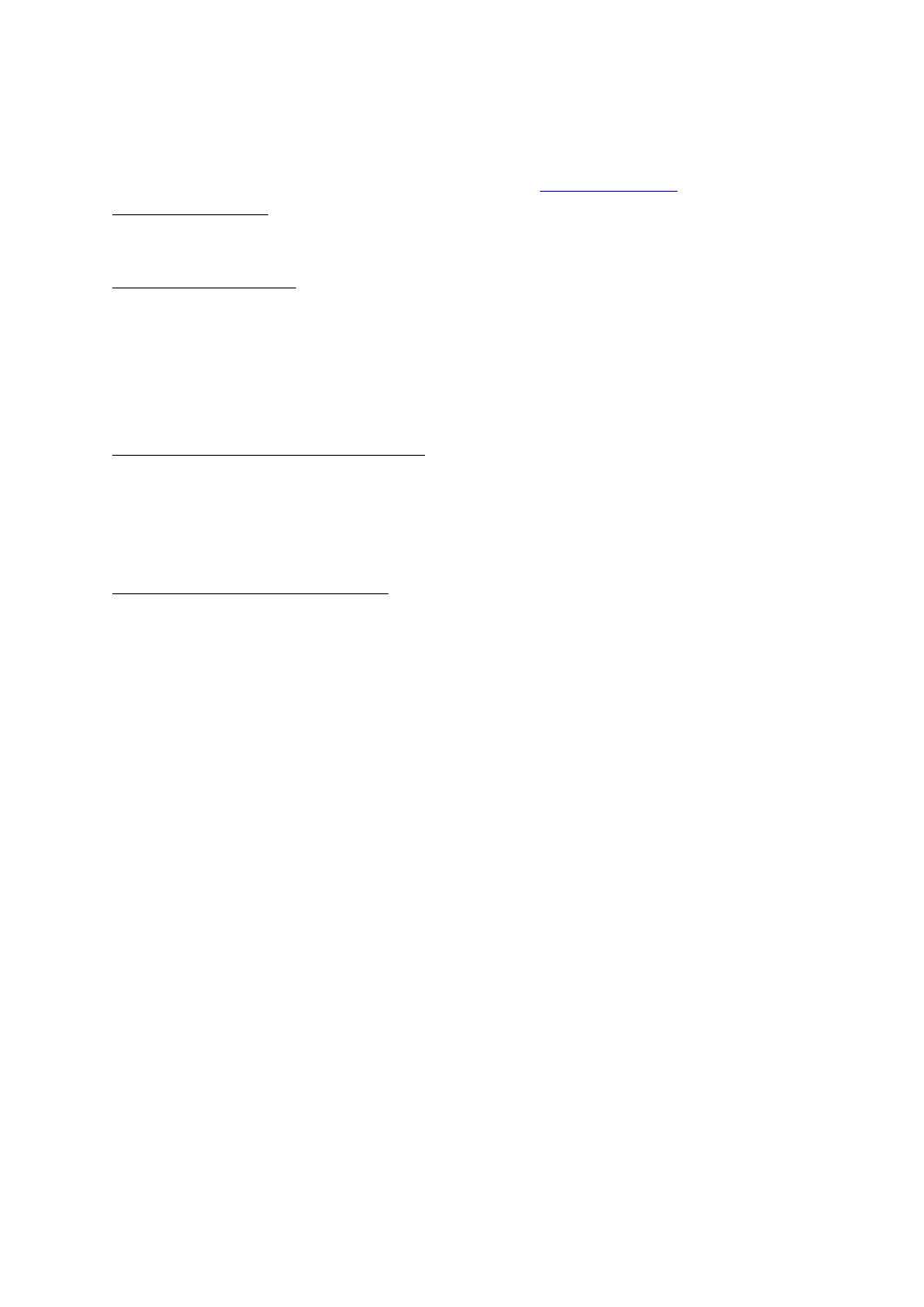**Dr Muhammad Saleem** M.D. (Iran); R.M.P. (Pak) Contact No. (Mob) 0092 334 6688428 Email: msaleema1@yahoo.com

### **Career Objectives**

Pursuing career as a good healthcare provider through research.

### Personal Information

Father s Name: Nabi Bakhsh Date Of Birth : 11.11.1977 Address : 1)-House No 5 Buzdar town Wadoor Road Near Graveyard Andullah Town Dera Ghazi Khan City / 2)-House No. 12 Block No.45 Dera Ghazi Khan City Pakistan Marital Status : Married

#### **EDUCATIONAL QUALIFICATIONS**

- 1. 1993. SSc. (10<sup>th</sup> class) 86% Marks Govt Comp. School D.G.Khan (Pakistan)
- 2. 1996: F.Sc.(12 th Class) 73% Marks D.G.Khan Board; D.G.Khan (Pakistan)
- 3. 2004: M.D (Doctor of Medicine) 73% Marks SBMU; Tehran (Iran)

#### **PROFESSIONAL EXPERIENCE**

- 1. September 2004 to July 2006 as Intern in S.B.M.U Hospitals (Rotaions Medicine Surgery Gynecology Pediatrics Ophthalmology ENT Dermatology Public Health)
- 2. May 2007 to July 2007. As Oncology House Officer in N.M.U. hospital Multan Pakistan
- 3. December 2007 to January 2009 As House Officer in Ophthalmology department D.H.Q. (District Head Quarter) Teaching Hospital Dera Ghazi Khan City Pakistan
- 4. January 2009 to January 2011 As Medical Officer in Ophthalmology department and emergency department THQ (Tehsil Head Quarter) Hospital Taunsa Sharif city Pakistan
- 5. January 2011 to September 2013 as Medical Officer at Trauma centre Dera Ghazi Khan City Pakistan
- 6. September 2013 to August 2015 as Medical Officer at Primary and Secondary Health department Punjab Lahore Pakistan
- 7. August 2015 to June 2016 as District Blood Transfusion Officer of District Blood Bank Dera Ghazi Khan City Pakistan
- 8. June 2016 to July 2017 as Medical Officer in Primary and Secondary Health Department Hospitals in Dera Ghazi Khan coty Pakistan
- 9. July 2017 to May 2018 as Medical Officer at Trauma Centre D.G.Khan